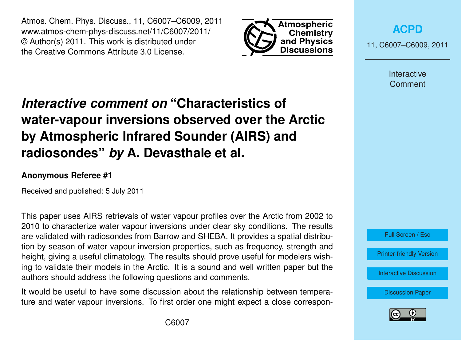Atmos. Chem. Phys. Discuss., 11, C6007–C6009, 2011 www.atmos-chem-phys-discuss.net/11/C6007/2011/ © Author(s) 2011. This work is distributed under the Creative Commons Attribute 3.0 License.



**[ACPD](http://www.atmos-chem-phys-discuss.net)**

11, C6007–C6009, 2011

Interactive Comment

## *Interactive comment on* **"Characteristics of water-vapour inversions observed over the Arctic by Atmospheric Infrared Sounder (AIRS) and radiosondes"** *by* **A. Devasthale et al.**

## **Anonymous Referee #1**

Received and published: 5 July 2011

This paper uses AIRS retrievals of water vapour profiles over the Arctic from 2002 to 2010 to characterize water vapour inversions under clear sky conditions. The results are validated with radiosondes from Barrow and SHEBA. It provides a spatial distribution by season of water vapour inversion properties, such as frequency, strength and height, giving a useful climatology. The results should prove useful for modelers wishing to validate their models in the Arctic. It is a sound and well written paper but the authors should address the following questions and comments.

It would be useful to have some discussion about the relationship between temperature and water vapour inversions. To first order one might expect a close correspon-



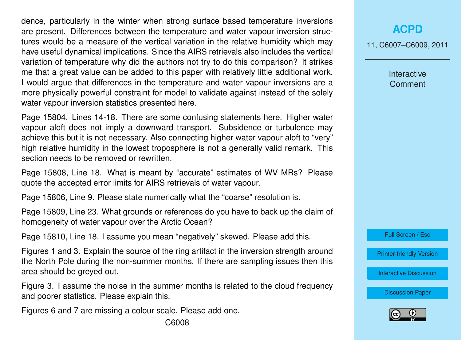dence, particularly in the winter when strong surface based temperature inversions are present. Differences between the temperature and water vapour inversion structures would be a measure of the vertical variation in the relative humidity which may have useful dynamical implications. Since the AIRS retrievals also includes the vertical variation of temperature why did the authors not try to do this comparison? It strikes me that a great value can be added to this paper with relatively little additional work. I would argue that differences in the temperature and water vapour inversions are a more physically powerful constraint for model to validate against instead of the solely water vapour inversion statistics presented here.

Page 15804. Lines 14-18. There are some confusing statements here. Higher water vapour aloft does not imply a downward transport. Subsidence or turbulence may achieve this but it is not necessary. Also connecting higher water vapour aloft to "very" high relative humidity in the lowest troposphere is not a generally valid remark. This section needs to be removed or rewritten.

Page 15808, Line 18. What is meant by "accurate" estimates of WV MRs? Please quote the accepted error limits for AIRS retrievals of water vapour.

Page 15806, Line 9. Please state numerically what the "coarse" resolution is.

Page 15809, Line 23. What grounds or references do you have to back up the claim of homogeneity of water vapour over the Arctic Ocean?

Page 15810, Line 18. I assume you mean "negatively" skewed. Please add this.

Figures 1 and 3. Explain the source of the ring artifact in the inversion strength around the North Pole during the non-summer months. If there are sampling issues then this area should be greyed out.

Figure 3. I assume the noise in the summer months is related to the cloud frequency and poorer statistics. Please explain this.

Figures 6 and 7 are missing a colour scale. Please add one.

**[ACPD](http://www.atmos-chem-phys-discuss.net)**

11, C6007–C6009, 2011

Interactive **Comment** 

Full Screen / Esc

[Printer-friendly Version](http://www.atmos-chem-phys-discuss.net/11/C6007/2011/acpd-11-C6007-2011-print.pdf)

[Interactive Discussion](http://www.atmos-chem-phys-discuss.net/11/15801/2011/acpd-11-15801-2011-discussion.html)

[Discussion Paper](http://www.atmos-chem-phys-discuss.net/11/15801/2011/acpd-11-15801-2011.pdf)